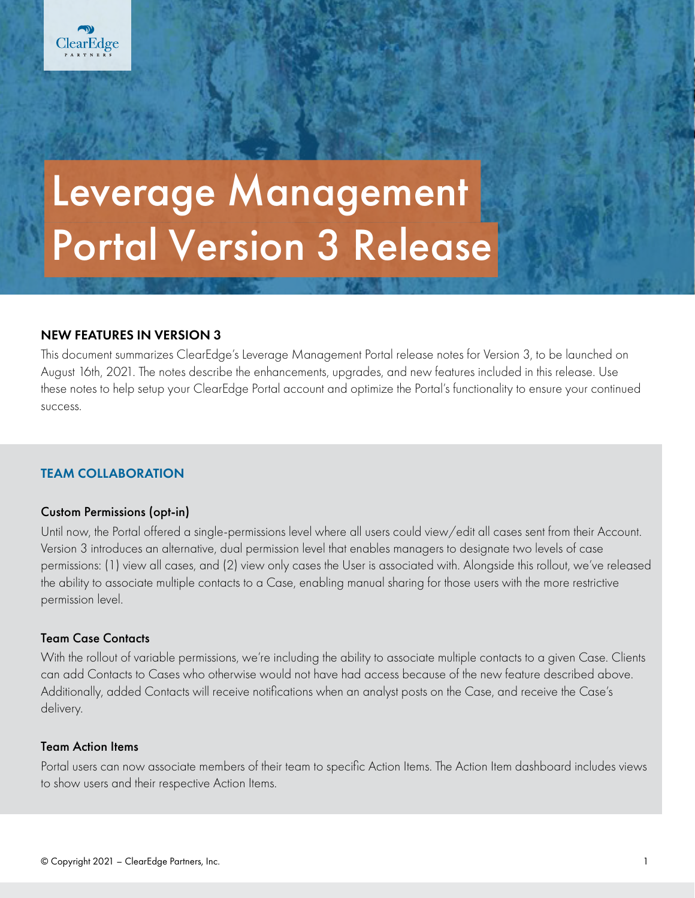# Leverage Management Portal Version 3 Release

# NEW FEATURES IN VERSION 3

This document summarizes ClearEdge's Leverage Management Portal release notes for Version 3, to be launched on August 16th, 2021. The notes describe the enhancements, upgrades, and new features included in this release. Use these notes to help setup your ClearEdge Portal account and optimize the Portal's functionality to ensure your continued success.

# TEAM COLLABORATION

#### Custom Permissions (opt-in)

Until now, the Portal offered a single-permissions level where all users could view/edit all cases sent from their Account. Version 3 introduces an alternative, dual permission level that enables managers to designate two levels of case permissions: (1) view all cases, and (2) view only cases the User is associated with. Alongside this rollout, we've released the ability to associate multiple contacts to a Case, enabling manual sharing for those users with the more restrictive permission level.

#### Team Case Contacts

With the rollout of variable permissions, we're including the ability to associate multiple contacts to a given Case. Clients can add Contacts to Cases who otherwise would not have had access because of the new feature described above. Additionally, added Contacts will receive notifications when an analyst posts on the Case, and receive the Case's delivery.

#### Team Action Items

Portal users can now associate members of their team to specific Action Items. The Action Item dashboard includes views to show users and their respective Action Items.